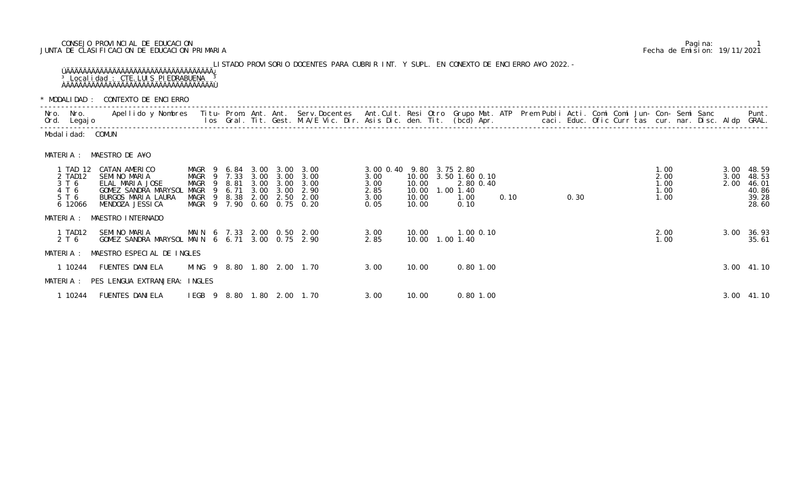## CONSEJO PROVINCIAL DE EDUCACION Pagina: 1 JUNTA DE CLASIFICACION DE EDUCACION PRIMARIA Fecha de Emision: 19/11/2021

## LISTADO PROVISORIO DOCENTES PARA CUBRIR INT. Y SUPL. EN CONEXTO DE ENCIERRO A¥O 2022.- ÚÄÄÄÄÄÄÄÄÄÄÄÄÄÄÄÄÄÄÄÄÄÄÄÄÄÄÄÄÄÄÄÄÄÄÄ¿ <sup>3</sup> Localidad : CTE. LUIS PIEDRABUENA <sup>3</sup> ÀÄÄÄÄÄÄÄÄÄÄÄÄÄÄÄÄÄÄÄÄÄÄÄÄÄÄÄÄÄÄÄÄÄÄÄÙ

\* MODALIDAD : CONTEXTO DE ENCIERRO

|           |                                                           | * MODALIDAD : CONTEXTO DE ENCIERRO                                                                                                       |                                            |   |                |                      |                                           |                                                                                                                            |                                                                  |                                           |                   |               |                                             |      |  |      |  |                                      |  |              |                                                         |
|-----------|-----------------------------------------------------------|------------------------------------------------------------------------------------------------------------------------------------------|--------------------------------------------|---|----------------|----------------------|-------------------------------------------|----------------------------------------------------------------------------------------------------------------------------|------------------------------------------------------------------|-------------------------------------------|-------------------|---------------|---------------------------------------------|------|--|------|--|--------------------------------------|--|--------------|---------------------------------------------------------|
| Nro. Nro. | Ord. Legajo                                               | Apellido y Nombres Titu- Prom. Ant. Ant. Serv.Docentes Ant.Cult. Resi Otro Grupo Mat. ATP Prem Publi Acti. Comi Comi Jun- Con- Semi Sanc |                                            |   |                |                      |                                           | los Gral. Tit. Gest. M.A/E Vic. Dir. Asis Dic. den. Tit. (bcd) Apr.         caci. Educ. Ofic Curr tas cur. nar. Disc. Aldp |                                                                  |                                           |                   |               |                                             |      |  |      |  |                                      |  |              | Punt.<br>GRAL.                                          |
|           | Modalidad: COMUN                                          |                                                                                                                                          |                                            |   |                |                      |                                           |                                                                                                                            |                                                                  |                                           |                   |               |                                             |      |  |      |  |                                      |  |              |                                                         |
| MATERIA : |                                                           | MAESTRO DE A¥O                                                                                                                           |                                            |   |                |                      |                                           |                                                                                                                            |                                                                  |                                           |                   |               |                                             |      |  |      |  |                                      |  |              |                                                         |
|           | 1 TAD 12<br>2 TAD12<br>3 T 6<br>4 T 6<br>5 T 6<br>6 12066 | CATAN AMERICO<br>SEMINO MARIA<br>ELAL MARIA JOSE<br>GOMEZ SANDRA MARYSOL<br>BURGOS MARIA LAURA<br>MENDOZA JESSI CA                       | MAGR 9 7.33<br>MAGR<br>MAGR<br>MAGR 9 8.38 | 9 | 9 8.81<br>6.71 | 3.00<br>3.00<br>2.00 | $3.00 \quad 3.00$<br>3.00<br>3.00<br>2.50 | MAGR 9 6.84 3.00 3.00 3.00<br>3.00<br>3.00<br>2.90<br>2.00<br>MAGR 9 7.90 0.60 0.75 0.20                                   | 3.00 0.40 9.80 3.75 2.80<br>3.00<br>3.00<br>2.85<br>3.00<br>0.05 | 10.00<br>10.00<br>10.00<br>10.00<br>10.00 |                   | $1.00$ $1.40$ | 3.50 1.60 0.10<br>2.80 0.40<br>1.00<br>0.10 | 0.10 |  | 0.30 |  | 1.00<br>2.00<br>1.00<br>1.00<br>1.00 |  | 3.00<br>2.00 | 3.00 48.59<br>48.53<br>46.01<br>40.86<br>39.28<br>28.60 |
| MATERIA : |                                                           | MAESTRO INTERNADO                                                                                                                        |                                            |   |                |                      |                                           |                                                                                                                            |                                                                  |                                           |                   |               |                                             |      |  |      |  |                                      |  |              |                                                         |
|           | 1 TAD12<br>2 T 6                                          | SEMINO MARIA<br>GOMEZ SANDRA MARYSOL MAIN 6 6.71 3.00 0.75 2.90                                                                          |                                            |   |                |                      |                                           | MAIN 6 7.33 2.00 0.50 2.00                                                                                                 | 3.00<br>2.85                                                     | 10.00                                     | 10.00  1.00  1.40 |               | $1.00$ 0.10                                 |      |  |      |  | 2.00<br>1.00                         |  | 3.00         | 36.93<br>35.61                                          |
| MATERIA : |                                                           | MAESTRO ESPECIAL DE INGLES                                                                                                               |                                            |   |                |                      |                                           |                                                                                                                            |                                                                  |                                           |                   |               |                                             |      |  |      |  |                                      |  |              |                                                         |
|           | 1 10244                                                   | <b>FUENTES DANIELA</b>                                                                                                                   |                                            |   |                |                      |                                           | MING 9 8.80 1.80 2.00 1.70                                                                                                 | 3.00                                                             | 10.00                                     |                   |               | $0.80$ 1.00                                 |      |  |      |  |                                      |  |              | 3.00 41.10                                              |
|           |                                                           | MATERIA : PES LENGUA EXTRANJERA: INGLES                                                                                                  |                                            |   |                |                      |                                           |                                                                                                                            |                                                                  |                                           |                   |               |                                             |      |  |      |  |                                      |  |              |                                                         |
|           | 1 10244                                                   | FUENTES DANI ELA                                                                                                                         |                                            |   |                |                      |                                           | IEGB 9 8.80 1.80 2.00 1.70                                                                                                 | 3.00                                                             | 10.00                                     |                   |               | $0.80$ 1.00                                 |      |  |      |  |                                      |  |              | 3.00 41.10                                              |

| MODALIDAD: CONTEXTO DE ENCIERRO |                                                           |                                                                                                                    |                                                                                             |      |                              |                                              |                                                                                                                                                                                                                                   |                                                                  |                                           |  |                                                          |  |      |  |      |  |                                      |  |              |                                                         |
|---------------------------------|-----------------------------------------------------------|--------------------------------------------------------------------------------------------------------------------|---------------------------------------------------------------------------------------------|------|------------------------------|----------------------------------------------|-----------------------------------------------------------------------------------------------------------------------------------------------------------------------------------------------------------------------------------|------------------------------------------------------------------|-------------------------------------------|--|----------------------------------------------------------|--|------|--|------|--|--------------------------------------|--|--------------|---------------------------------------------------------|
|                                 | Nro. Nro.<br>Ord. Legajo                                  | Apellido y Nombres                                                                                                 |                                                                                             |      |                              |                                              | Titu- Prom. Ant. Ant. Serv.Docentes  Ant.Cult. Resi Otro Grupo Mat. ATP  Prem Publi Acti. Comi Comi Jun- Con- Semi Sanc<br>Ios  Gral. Tit. Gest. M.A/E Vic. Dir. Asis Dic. den. Tit. (bcd) Apr.                caci. Educ. Ofic C |                                                                  |                                           |  |                                                          |  |      |  |      |  |                                      |  |              | Punt.<br>GRAL.                                          |
|                                 | Modal i dad: COMUN                                        |                                                                                                                    |                                                                                             |      |                              |                                              |                                                                                                                                                                                                                                   |                                                                  |                                           |  |                                                          |  |      |  |      |  |                                      |  |              |                                                         |
| MATERIA :                       |                                                           | MAESTRO DE A¥O                                                                                                     |                                                                                             |      |                              |                                              |                                                                                                                                                                                                                                   |                                                                  |                                           |  |                                                          |  |      |  |      |  |                                      |  |              |                                                         |
|                                 | 1 TAD 12<br>2 TAD12<br>3 T 6<br>4 T 6<br>5 T 6<br>6 12066 | CATAN AMERICO<br>SEMINO MARIA<br>ELAL MARIA JOSE<br>GOMEZ SANDRA MARYSOL<br>BURGOS MARIA LAURA<br>MENDOZA JESSI CA | MAGR 9 6.84<br>MAGR 9 7.33 3.00<br>MAGR 9 8.81<br>MAGR 9<br>MAGR 9 8.38<br>MAGR 9 7.90 0.60 | 6.71 | 3.00<br>3.00<br>3.00<br>2.00 | 3.00<br>3.00<br>3.00<br>3.00<br>2.50<br>0.75 | 3.00<br>3.00<br>3.00<br>2.90<br>2.00<br>0. 20                                                                                                                                                                                     | 3.00 0.40 9.80 3.75 2.80<br>3.00<br>3.00<br>2.85<br>3.00<br>0.05 | 10.00<br>10.00<br>10.00<br>10.00<br>10.00 |  | 3.50 1.60 0.10<br>2.80 0.40<br>1.00 1.40<br>1.00<br>0.10 |  | 0.10 |  | 0.30 |  | 1.00<br>2.00<br>1.00<br>1.00<br>1.00 |  | 3.00<br>2.00 | 3.00 48.59<br>48.53<br>46.01<br>40.86<br>39.28<br>28.60 |
| MATERIA :                       |                                                           | MAESTRO INTERNADO                                                                                                  |                                                                                             |      |                              |                                              |                                                                                                                                                                                                                                   |                                                                  |                                           |  |                                                          |  |      |  |      |  |                                      |  |              |                                                         |
|                                 | 1 TAD12<br>2 T 6                                          | SEMINO MARIA<br>GOMEZ SANDRA MARYSOL MAIN 6 6.71 3.00                                                              | MAIN 6 7.33 2.00 0.50 2.00                                                                  |      |                              |                                              | $0.75$ 2.90                                                                                                                                                                                                                       | 3.00<br>2.85                                                     | 10.00<br>10.00                            |  | 1.00 0.10<br>$1.00$ $1.40$                               |  |      |  |      |  | 2.00<br>1.00                         |  | 3.00         | 36.93<br>35.61                                          |
| MATERIA :                       |                                                           | MAESTRO ESPECIAL DE INGLES                                                                                         |                                                                                             |      |                              |                                              |                                                                                                                                                                                                                                   |                                                                  |                                           |  |                                                          |  |      |  |      |  |                                      |  |              |                                                         |
|                                 | 1 10244                                                   | <b>FUENTES DANI ELA</b>                                                                                            | MING 9 8.80 1.80 2.00 1.70                                                                  |      |                              |                                              |                                                                                                                                                                                                                                   | 3.00                                                             | 10.00                                     |  | $0.80$ 1.00                                              |  |      |  |      |  |                                      |  |              | 3.00 41.10                                              |
|                                 |                                                           | MATERIA : PES LENGUA EXTRANJERA:                                                                                   | <b>INGLES</b>                                                                               |      |                              |                                              |                                                                                                                                                                                                                                   |                                                                  |                                           |  |                                                          |  |      |  |      |  |                                      |  |              |                                                         |
|                                 | 1 10244                                                   | FUENTES DANI ELA                                                                                                   | IEGB <sub>9</sub>                                                                           |      |                              |                                              | 8.80 1.80 2.00 1.70                                                                                                                                                                                                               | 3.00                                                             | 10.00                                     |  | $0.80$ 1.00                                              |  |      |  |      |  |                                      |  |              | 3.00 41.10                                              |